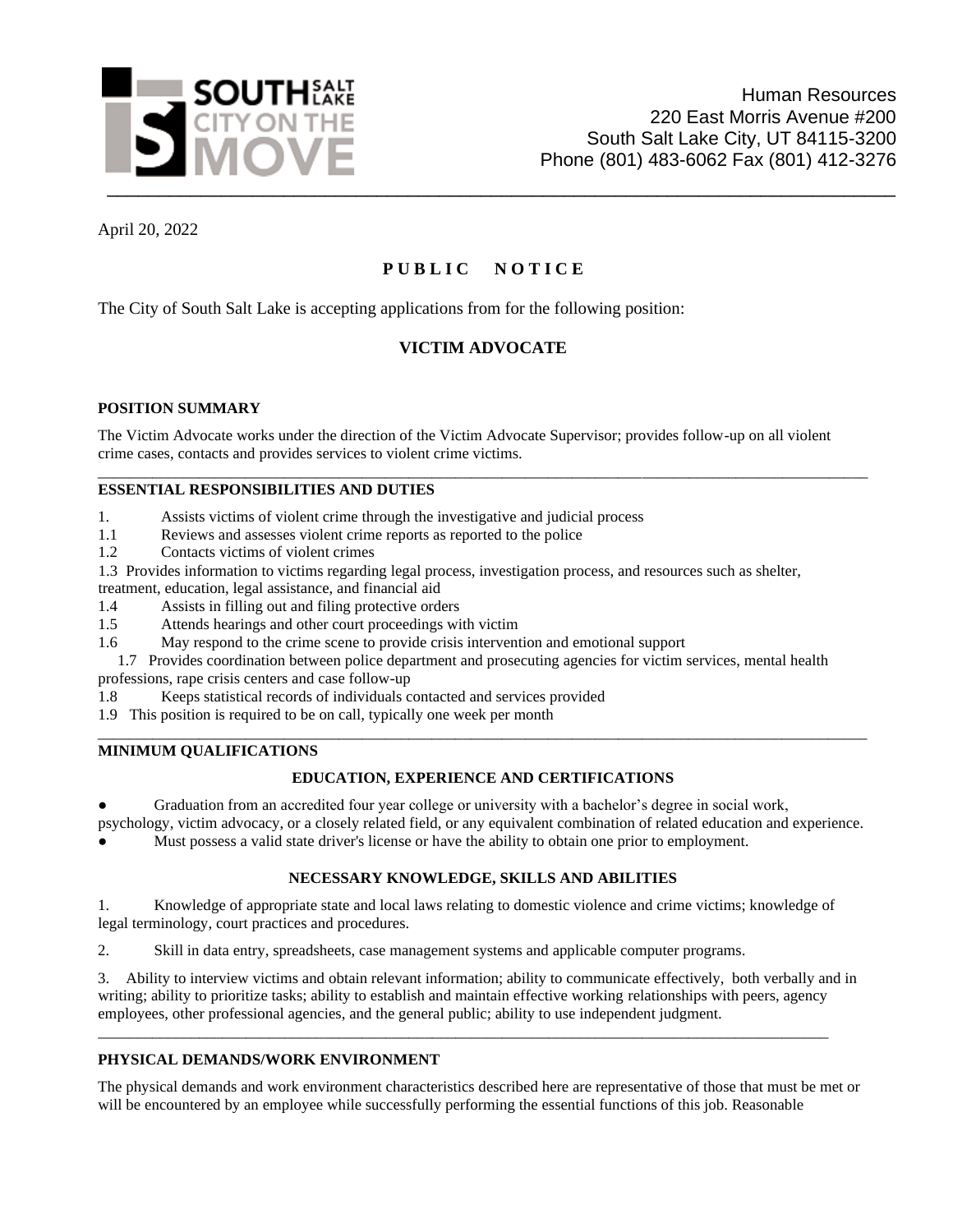

April 20, 2022

# **P U B L I C N O T I C E**

The City of South Salt Lake is accepting applications from for the following position:

# **VICTIM ADVOCATE**

### **POSITION SUMMARY**

The Victim Advocate works under the direction of the Victim Advocate Supervisor; provides follow-up on all violent crime cases, contacts and provides services to violent crime victims.

\_\_\_\_\_\_\_\_\_\_\_\_\_\_\_\_\_\_\_\_\_\_\_\_\_\_\_\_\_\_\_\_\_\_\_\_\_\_\_\_\_\_\_\_\_\_\_\_\_\_\_\_\_\_\_\_\_\_\_\_\_\_\_\_\_\_\_\_\_\_\_\_\_\_\_\_\_\_\_\_\_\_\_\_\_\_\_\_\_\_\_\_\_\_\_\_\_\_\_

### **ESSENTIAL RESPONSIBILITIES AND DUTIES**

1. Assists victims of violent crime through the investigative and judicial process

- 1.1 Reviews and assesses violent crime reports as reported to the police
- 1.2 Contacts victims of violent crimes

1.3 Provides information to victims regarding legal process, investigation process, and resources such as shelter,

- treatment, education, legal assistance, and financial aid
- 1.4 Assists in filling out and filing protective orders
- 1.5 Attends hearings and other court proceedings with victim
- 1.6 May respond to the crime scene to provide crisis intervention and emotional support

 1.7 Provides coordination between police department and prosecuting agencies for victim services, mental health professions, rape crisis centers and case follow-up

1.8 Keeps statistical records of individuals contacted and services provided

1.9 This position is required to be on call, typically one week per month

### **MINIMUM QUALIFICATIONS**

### **EDUCATION, EXPERIENCE AND CERTIFICATIONS**

\_\_\_\_\_\_\_\_\_\_\_\_\_\_\_\_\_\_\_\_\_\_\_\_\_\_\_\_\_\_\_\_\_\_\_\_\_\_\_\_\_\_\_\_\_\_\_\_\_\_\_\_\_\_\_\_\_\_\_\_\_\_\_\_\_\_\_\_\_\_\_\_\_\_\_\_\_\_\_\_\_\_\_\_\_\_\_\_\_\_\_\_\_\_\_\_\_\_\_

Graduation from an accredited four year college or university with a bachelor's degree in social work,

psychology, victim advocacy, or a closely related field, or any equivalent combination of related education and experience. Must possess a valid state driver's license or have the ability to obtain one prior to employment.

# **NECESSARY KNOWLEDGE, SKILLS AND ABILITIES**

1. Knowledge of appropriate state and local laws relating to domestic violence and crime victims; knowledge of legal terminology, court practices and procedures.

2. Skill in data entry, spreadsheets, case management systems and applicable computer programs.

3. Ability to interview victims and obtain relevant information; ability to communicate effectively, both verbally and in writing; ability to prioritize tasks; ability to establish and maintain effective working relationships with peers, agency employees, other professional agencies, and the general public; ability to use independent judgment.

\_\_\_\_\_\_\_\_\_\_\_\_\_\_\_\_\_\_\_\_\_\_\_\_\_\_\_\_\_\_\_\_\_\_\_\_\_\_\_\_\_\_\_\_\_\_\_\_\_\_\_\_\_\_\_\_\_\_\_\_\_\_\_\_\_\_\_\_\_\_\_\_\_\_\_\_\_\_\_\_\_\_\_\_\_\_\_\_\_\_\_\_\_\_

### **PHYSICAL DEMANDS/WORK ENVIRONMENT**

The physical demands and work environment characteristics described here are representative of those that must be met or will be encountered by an employee while successfully performing the essential functions of this job. Reasonable